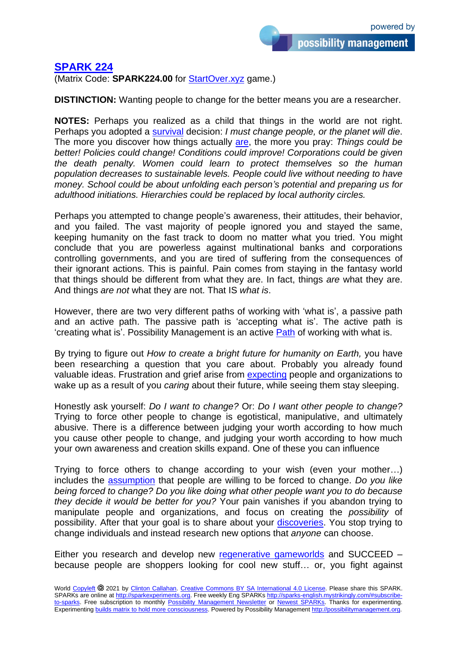## **SPARK 224**

(Matrix Code: **SPARK224.00** for StartOver.xyz game.)

**DISTINCTION:** Wanting people to change for the better means you are a researcher.

**NOTES:** Perhaps you realized as a child that things in the world are not right. Perhaps you adopted a survival decision: *I must change people, or the planet will die*. The more you discover how things actually are, the more you pray: *Things could be better! Policies could change! Conditions could improve! Corporations could be given the death penalty. Women could learn to protect themselves so the human population decreases to sustainable levels. People could live without needing to have money. School could be about unfolding each person's potential and preparing us for adulthood initiations. Hierarchies could be replaced by local authority circles.*

Perhaps you attempted to change people's awareness, their attitudes, their behavior, and you failed. The vast majority of people ignored you and stayed the same, keeping humanity on the fast track to doom no matter what you tried. You might conclude that you are powerless against multinational banks and corporations controlling governments, and you are tired of suffering from the consequences of their ignorant actions. This is painful. Pain comes from staying in the fantasy world that things should be different from what they are. In fact, things *are* what they are. And things *are not* what they are not. That IS *what is*.

However, there are two very different paths of working with 'what is', a passive path and an active path. The passive path is 'accepting what is'. The active path is 'creating what is'. Possibility Management is an active Path of working with what is.

By trying to figure out *How to create a bright future for humanity on Earth,* you have been researching a question that you care about. Probably you already found valuable ideas. Frustration and grief arise from expecting people and organizations to wake up as a result of you *caring* about their future, while seeing them stay sleeping.

Honestly ask yourself: *Do I want to change?* Or: *Do I want other people to change?* Trying to force other people to change is egotistical, manipulative, and ultimately abusive. There is a difference between judging your worth according to how much you cause other people to change, and judging your worth according to how much your own awareness and creation skills expand. One of these you can influence

Trying to force others to change according to your wish (even your mother…) includes the assumption that people are willing to be forced to change. *Do you like being forced to change? Do you like doing what other people want you to do because they decide it would be better for you?* Your pain vanishes if you abandon trying to manipulate people and organizations, and focus on creating the *possibility* of possibility. After that your goal is to share about your discoveries. You stop trying to change individuals and instead research new options that *anyone* can choose.

Either you research and develop new regenerative gameworlds and SUCCEED – because people are shoppers looking for cool new stuff… or, you fight against